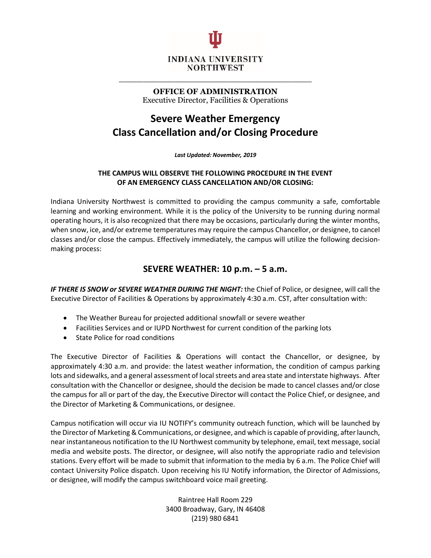

**OFFICE OF ADMINISTRATION** Executive Director, Facilities & Operations

**\_\_\_\_\_\_\_\_\_\_\_\_\_\_\_\_\_\_\_\_\_\_\_\_\_\_\_\_\_\_\_\_\_\_\_\_\_\_\_**

# **Severe Weather Emergency Class Cancellation and/or Closing Procedure**

*Last Updated: November, 2019*

#### **THE CAMPUS WILL OBSERVE THE FOLLOWING PROCEDURE IN THE EVENT OF AN EMERGENCY CLASS CANCELLATION AND/OR CLOSING:**

Indiana University Northwest is committed to providing the campus community a safe, comfortable learning and working environment. While it is the policy of the University to be running during normal operating hours, it is also recognized that there may be occasions, particularly during the winter months, when snow, ice, and/or extreme temperatures may require the campus Chancellor, or designee, to cancel classes and/or close the campus. Effectively immediately, the campus will utilize the following decisionmaking process:

## **SEVERE WEATHER: 10 p.m. – 5 a.m.**

*IF THERE IS SNOW or SEVERE WEATHER DURING THE NIGHT:* the Chief of Police, or designee, will call the Executive Director of Facilities & Operations by approximately 4:30 a.m. CST, after consultation with:

- The Weather Bureau for projected additional snowfall or severe weather
- Facilities Services and or IUPD Northwest for current condition of the parking lots
- State Police for road conditions

The Executive Director of Facilities & Operations will contact the Chancellor, or designee, by approximately 4:30 a.m. and provide: the latest weather information, the condition of campus parking lots and sidewalks, and a general assessment of local streets and area state and interstate highways. After consultation with the Chancellor or designee, should the decision be made to cancel classes and/or close the campus for all or part of the day, the Executive Director will contact the Police Chief, or designee, and the Director of Marketing & Communications, or designee.

Campus notification will occur via IU NOTIFY's community outreach function, which will be launched by the Director of Marketing & Communications, or designee, and which is capable of providing, after launch, near instantaneous notification to the IU Northwest community by telephone, email, text message, social media and website posts. The director, or designee, will also notify the appropriate radio and television stations. Every effort will be made to submit that information to the media by 6 a.m. The Police Chief will contact University Police dispatch. Upon receiving his IU Notify information, the Director of Admissions, or designee, will modify the campus switchboard voice mail greeting.

> Raintree Hall Room 229 3400 Broadway, Gary, IN 46408 (219) 980 6841